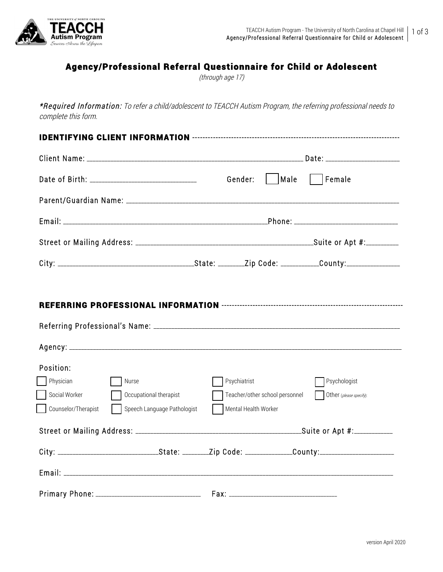

# Agency/Professional Referral Questionnaire for Child or Adolescent

(through age 17)

\*Required Information: To refer a child/adolescent to TEACCH Autism Program, the referring professional needs to complete this form.

|                                 |                             | Gender:              |                                | Male    Female          |
|---------------------------------|-----------------------------|----------------------|--------------------------------|-------------------------|
|                                 |                             |                      |                                |                         |
|                                 |                             |                      |                                |                         |
|                                 |                             |                      |                                |                         |
|                                 |                             |                      |                                |                         |
| Position:<br>Physician<br>Nurse |                             | Psychiatrist         |                                | Psychologist            |
| Social Worker                   | Occupational therapist      |                      | Teacher/other school personnel | Other (please specify): |
| Counselor/Therapist             | Speech Language Pathologist | Mental Health Worker |                                |                         |
|                                 |                             |                      |                                |                         |
|                                 |                             |                      |                                |                         |
|                                 |                             |                      |                                |                         |
|                                 |                             |                      |                                |                         |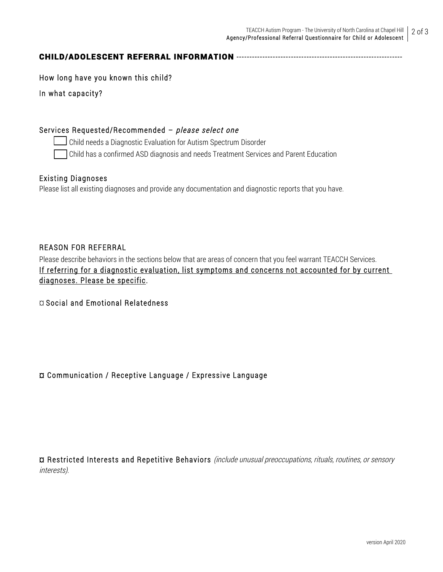## CHILD/ADOLESCENT REFERRAL INFORMATION ----------------------------------------------------------------

How long have you known this child?

In what capacity?

#### Services Requested/Recommended – please select one

Child needs a Diagnostic Evaluation for Autism Spectrum Disorder

Child has a confirmed ASD diagnosis and needs Treatment Services and Parent Education

#### Existing Diagnoses

Please list all existing diagnoses and provide any documentation and diagnostic reports that you have.

#### REASON FOR REFERRAL

Please describe behaviors in the sections below that are areas of concern that you feel warrant TEACCH Services. If referring for a diagnostic evaluation, list symptoms and concerns not accounted for by current diagnoses. Please be specific.

¤ Social and Emotional Relatedness

## ¤ Communication / Receptive Language / Expressive Language

¤ Restricted Interests and Repetitive Behaviors (include unusual preoccupations, rituals, routines, or sensory interests).